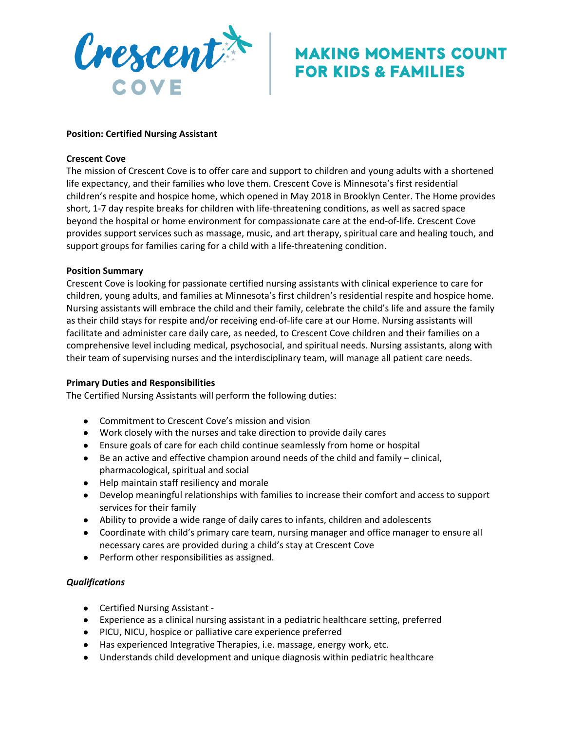

# **MAKING MOMENTS COUNT FOR KIDS & FAMILIES**

### **Position: Certified Nursing Assistant**

#### **Crescent Cove**

The mission of Crescent Cove is to offer care and support to children and young adults with a shortened life expectancy, and their families who love them. Crescent Cove is Minnesota's first residential children's respite and hospice home, which opened in May 2018 in Brooklyn Center. The Home provides short, 1-7 day respite breaks for children with life-threatening conditions, as well as sacred space beyond the hospital or home environment for compassionate care at the end-of-life. Crescent Cove provides support services such as massage, music, and art therapy, spiritual care and healing touch, and support groups for families caring for a child with a life-threatening condition.

#### **Position Summary**

Crescent Cove is looking for passionate certified nursing assistants with clinical experience to care for children, young adults, and families at Minnesota's first children's residential respite and hospice home. Nursing assistants will embrace the child and their family, celebrate the child's life and assure the family as their child stays for respite and/or receiving end-of-life care at our Home. Nursing assistants will facilitate and administer care daily care, as needed, to Crescent Cove children and their families on a comprehensive level including medical, psychosocial, and spiritual needs. Nursing assistants, along with their team of supervising nurses and the interdisciplinary team, will manage all patient care needs.

#### **Primary Duties and Responsibilities**

The Certified Nursing Assistants will perform the following duties:

- Commitment to Crescent Cove's mission and vision
- Work closely with the nurses and take direction to provide daily cares
- Ensure goals of care for each child continue seamlessly from home or hospital
- $\bullet$  Be an active and effective champion around needs of the child and family clinical, pharmacological, spiritual and social
- Help maintain staff resiliency and morale
- Develop meaningful relationships with families to increase their comfort and access to support services for their family
- Ability to provide a wide range of daily cares to infants, children and adolescents
- Coordinate with child's primary care team, nursing manager and office manager to ensure all necessary cares are provided during a child's stay at Crescent Cove
- **●** Perform other responsibilities as assigned.

## *Qualifications*

- Certified Nursing Assistant -
- Experience as a clinical nursing assistant in a pediatric healthcare setting, preferred
- PICU, NICU, hospice or palliative care experience preferred
- Has experienced Integrative Therapies, i.e. massage, energy work, etc.
- Understands child development and unique diagnosis within pediatric healthcare